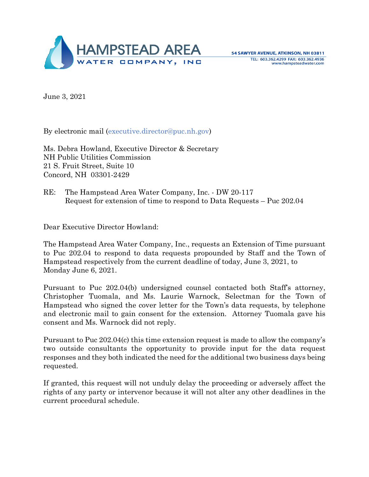

June 3, 2021

By electronic mail [\(executive.director@puc.nh.gov\)](mailto:executive.director@puc.nh.gov)

Ms. Debra Howland, Executive Director & Secretary NH Public Utilities Commission 21 S. Fruit Street, Suite 10 Concord, NH 03301-2429

RE: The Hampstead Area Water Company, Inc. - DW 20-117 Request for extension of time to respond to Data Requests – Puc 202.04

Dear Executive Director Howland:

The Hampstead Area Water Company, Inc., requests an Extension of Time pursuant to Puc 202.04 to respond to data requests propounded by Staff and the Town of Hampstead respectively from the current deadline of today, June 3, 2021, to Monday June 6, 2021.

Pursuant to Puc 202.04(b) undersigned counsel contacted both Staff's attorney, Christopher Tuomala, and Ms. Laurie Warnock, Selectman for the Town of Hampstead who signed the cover letter for the Town's data requests, by telephone and electronic mail to gain consent for the extension. Attorney Tuomala gave his consent and Ms. Warnock did not reply.

Pursuant to Puc 202.04(c) this time extension request is made to allow the company's two outside consultants the opportunity to provide input for the data request responses and they both indicated the need for the additional two business days being requested.

If granted, this request will not unduly delay the proceeding or adversely affect the rights of any party or intervenor because it will not alter any other deadlines in the current procedural schedule.